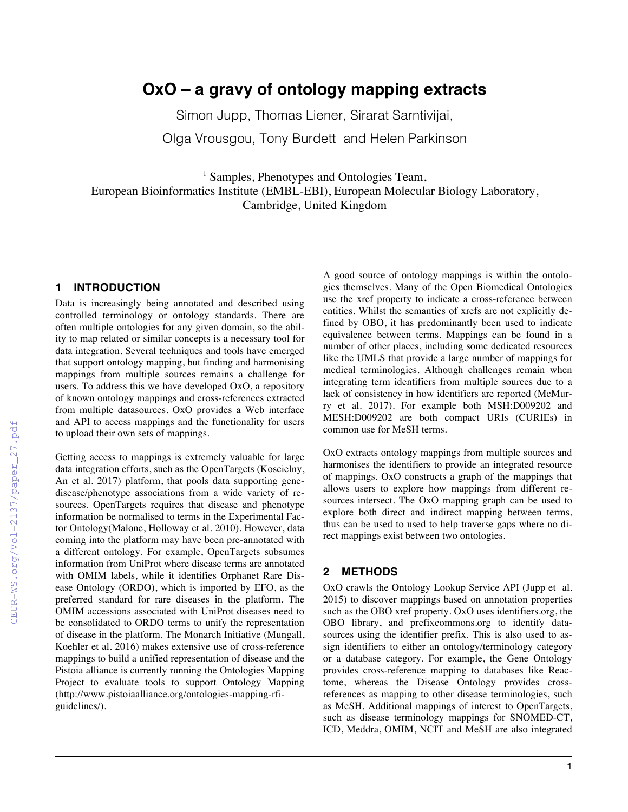# **OxO – a gravy of ontology mapping extracts**

Simon Jupp, Thomas Liener, Sirarat Sarntivijai,

Olga Vrousgou, Tony Burdett and Helen Parkinson

<sup>1</sup> Samples, Phenotypes and Ontologies Team, European Bioinformatics Institute (EMBL-EBI), European Molecular Biology Laboratory, Cambridge, United Kingdom

# **1 INTRODUCTION**

Data is increasingly being annotated and described using controlled terminology or ontology standards. There are often multiple ontologies for any given domain, so the ability to map related or similar concepts is a necessary tool for data integration. Several techniques and tools have emerged that support ontology mapping, but finding and harmonising mappings from multiple sources remains a challenge for users. To address this we have developed OxO, a repository of known ontology mappings and cross-references extracted from multiple datasources. OxO provides a Web interface and API to access mappings and the functionality for users to upload their own sets of mappings.

Getting access to mappings is extremely valuable for large data integration efforts, such as the OpenTargets (Koscielny, An et al. 2017) platform, that pools data supporting genedisease/phenotype associations from a wide variety of resources. OpenTargets requires that disease and phenotype information be normalised to terms in the Experimental Factor Ontology(Malone, Holloway et al. 2010). However, data coming into the platform may have been pre-annotated with a different ontology. For example, OpenTargets subsumes information from UniProt where disease terms are annotated with OMIM labels, while it identifies Orphanet Rare Disease Ontology (ORDO), which is imported by EFO, as the preferred standard for rare diseases in the platform. The OMIM accessions associated with UniProt diseases need to be consolidated to ORDO terms to unify the representation of disease in the platform. The Monarch Initiative (Mungall, Koehler et al. 2016) makes extensive use of cross-reference mappings to build a unified representation of disease and the Pistoia alliance is currently running the Ontologies Mapping Project to evaluate tools to support Ontology Mapping (http://www.pistoiaalliance.org/ontologies-mapping-rfiguidelines/).

A good source of ontology mappings is within the ontologies themselves. Many of the Open Biomedical Ontologies use the xref property to indicate a cross-reference between entities. Whilst the semantics of xrefs are not explicitly defined by OBO, it has predominantly been used to indicate equivalence between terms. Mappings can be found in a number of other places, including some dedicated resources like the UMLS that provide a large number of mappings for medical terminologies. Although challenges remain when integrating term identifiers from multiple sources due to a lack of consistency in how identifiers are reported (McMurry et al. 2017). For example both MSH:D009202 and MESH:D009202 are both compact URIs (CURIEs) in common use for MeSH terms.

OxO extracts ontology mappings from multiple sources and harmonises the identifiers to provide an integrated resource of mappings. OxO constructs a graph of the mappings that allows users to explore how mappings from different resources intersect. The OxO mapping graph can be used to explore both direct and indirect mapping between terms, thus can be used to used to help traverse gaps where no direct mappings exist between two ontologies.

## **2 METHODS**

OxO crawls the Ontology Lookup Service API (Jupp et al. 2015) to discover mappings based on annotation properties such as the OBO xref property. OxO uses identifiers.org, the OBO library, and prefixcommons.org to identify datasources using the identifier prefix. This is also used to assign identifiers to either an ontology/terminology category or a database category. For example, the Gene Ontology provides cross-reference mapping to databases like Reactome, whereas the Disease Ontology provides crossreferences as mapping to other disease terminologies, such as MeSH. Additional mappings of interest to OpenTargets, such as disease terminology mappings for SNOMED-CT, ICD, Meddra, OMIM, NCIT and MeSH are also integrated